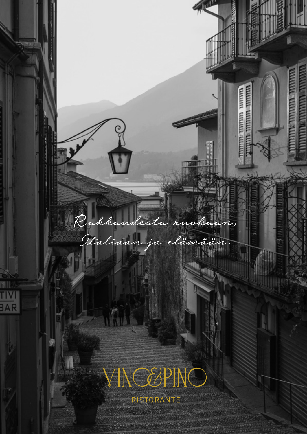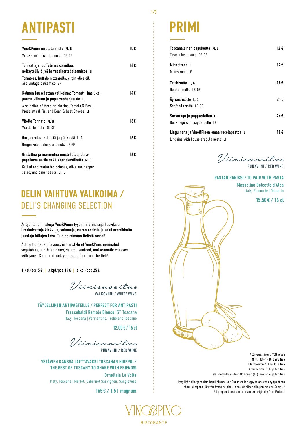# **ANTIPASTI**

| Vino&Pinon insalata mista M. G                                                                                                                                  | 10€ |
|-----------------------------------------------------------------------------------------------------------------------------------------------------------------|-----|
| Vino&Pino's insalata mista DF. GF                                                                                                                               |     |
| Tomaatteja, buffalo mozzarellaa,<br>neitsytoliiviöljyä ja vuosikertabalsamicoa G<br>Tomatoes, buffalo mozzarella, virgin olive oil,<br>and vintage balsamico GF | 14€ |
| Kolmen bruschettan valikoima: Tomaatti-basilika.<br>parma-viikuna ja papu-vuohenjuusto L                                                                        | 14€ |
| A selection of three bruchettas: Tomato & Basil.<br>Prosciutto & Fig, and Bean & Goat Cheese LF                                                                 |     |
| Vitello Tonnato M. G                                                                                                                                            | 16€ |
| Vitello Tonnato DF. GF                                                                                                                                          |     |
| Gorgonzolaa, selleriä ja pähkinää L, G<br>Gorgonzola, celery, and nuts LF, GF                                                                                   | 16€ |
| Grillattua ja marinoitua mustekalaa, oliivi-<br>paprikasalaattia sekä kapriskastiketta M, G                                                                     | 16€ |
| Grilled and marinated octopus, olive and pepper                                                                                                                 |     |

salad, and caper sauce DF, GF

## **DELIN VAIHTUVA VALIKOIMA /** DELI'S CHANGING SELECTION

#### Aitoja italian makuja Vino&Pinon tyyliin; marinoituja kasviksia, ilmakuivattuja kinkkuja, salameja, meren antimia ja sekä aromikkaita juustoja hillojen kera. Tule poimimaan Delistä omasi!

Authentic Italian flavours in the style of Vino&Pino; marinated vegetables, air-dried hams, salami, seafood, and aromatic cheeses with jams. Come and pick your selection from the Deli!

1 kpl/pcs 5 € | 3 kpl/pcs 14 € | 6 kpl/pcs 25 €

Viinisuositus VALKOVIINI / WHITE WINE

**TÄYDELLINEN ANTIPASTEILLE / PERFECT FOR ANTIPASTI**

Frescobaldi Remole Bianco IGT Toscana Italy, Toscana | Vermentino, Trebbiano Toscano

**12,00€ / 16cl**

Viinisuositus PUNAVIINI / RED WINE

**YSTÄVIEN KANSSA JAETTAVAKSI TOSCANAN HUIPPU! / THE BEST OF TUSCANY TO SHARE WITH FRIENDS!**  Ornellaia Le Volte Italy, Toscana | Merlot, Cabernet Sauvignon, Sangiovese

**165 € / 1,5 l magnum**

# **PRIMI**

| Toscanalainen papukeitto M, G<br>Tuscan bean soup DF, GF                             | 12 € |
|--------------------------------------------------------------------------------------|------|
| Minestrone L<br>Minestrone LF                                                        | 12€  |
| Tattirisotto L. G<br>Bolete risotto LF. GF                                           | 18€  |
| Äyriäisrisotto L, G<br>Seafood risotto LF. GF                                        | 21€  |
| Sorsaragù ja pappardellea L<br>Duck ragù with pappardelle LF                         | 24€  |
| Linguinena ja Vino&Pinon omaa rucolapestoa L<br>Linguine with house arugula pesto LF | 18€  |

Viinisuositus PUNAVIINI / RED WINE

#### **PASTAN PARIKSI / TO PAIR WITH PASTA**

Massolino Dolcetto d´Alba Italy, Piemonte | Dolcetto

**15,50 € / 16 cl**

VEG vegaaninen / VEG vegan M maidoton / DF dairy free L laktoositon / LF lactose free G gluteeniton / GF gluten free (G) saatavilla gluteenittomana / (GF) available gluten free

Kysy lisää allergeeneista henkilökunnalta / Our team is happy to answer any questions about allergens. Käyttämämme naudan- ja broilerinlihan alkuperämaa on Suomi. / All prepared beef and chicken are originally from Finland.



**COMMUNISTIC OFFICIAL REAL PROPERTY** 

RISTORANTE

1/3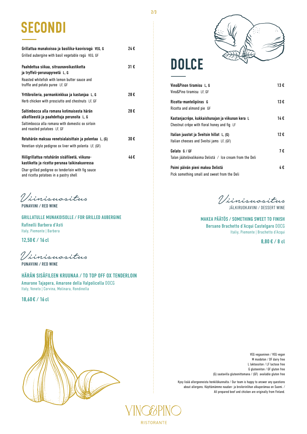# **SECONDI**

| Grillattua munakoisoa ja basilika-kasvisragù VEG, G<br>Grilled aubergine with basil vegetable ragù VEG, GF                                                                                       | 24€  |
|--------------------------------------------------------------------------------------------------------------------------------------------------------------------------------------------------|------|
| Paahdettua siikaa, sitruunavoikastiketta<br>ja tryffeli-perunapyreetä L, G<br>Roasted whitefish with lemon butter sauce and<br>truffle and potato puree LF, GF                                   | 31 € |
| Yrttibroileria, parmankinkkua ja kastanjaa L, G<br>Herb chicken with prosciutto and chestnuts LF, GF                                                                                             | 28€  |
| Saltimbocca alla romana kotimaisesta härän<br>ulkofileestä ja paahdettuja perunoita L, G<br>Saltimbocca alla romana with domestic ox sirloin<br>and roasted potatoes LF, GF                      | 28€  |
| Rotuhärän maksaa venetsialaisittain ja polentaa L, (G)<br>Venetian-style pedigree ox liver with polenta LF, (GF)                                                                                 | 30€  |
| Hiiligrillattua rotuhärän sisäfileetä, viikuna-<br>kastiketta ja ricotta-perunaa taikinakuoressa<br>Char-grilled pedigree ox tenderloin with fig sauce<br>and ricotta potatoes in a pastry shell | 46€  |

Viinisuositus PUNAVIINI / RED WINE

**GRILLATULLE MUNAKOISOLLE / FOR GRILLED AUBERGINE**  Rafinelli Barbera d'Asti Italy, Piemonte | Barbera

**12,50 € / 16 cl**

Viinisuositus PUNAVIINI / RED WINE

**HÄRÄN SISÄFILEEN KRUUNAA / TO TOP OFF OX TENDERLOIN**  Amarone Tajapera, Amarone della Valpolicella DOCG Italy, Veneto | Corvina, Molinara, Rondinella

**18,60 € / 16 cl**



# **DOLCE**

| Vino&Pinon tiramisu L. G<br>Vino&Pino tiramisu LF. GF                                           | 13 € |
|-------------------------------------------------------------------------------------------------|------|
| Ricotta-mantelipiiras G<br>Ricotta and almond pie GF                                            | 13 € |
| Kastanjacrêpe, kukkaishunajan ja viikunan kera L<br>Chestnut crêpe with floral honey and fig LF | 14 € |
| Italian juustot ja Sveitsin hillot L, (G)<br>Italian cheeses and Sveitsi jams LF, (GF)          | 12 € |
| Gelato G/GF<br>Talon jäätelövalikoima Delistä / Ice cream from the Deli                         | 7€   |
| Poimi päivän pieni makea Delistä<br>Pick something small and sweet from the Deli                | 4€   |

Viinisuositus JÄLKIRUOKAVIINI / DESSERT WINE

**MAKEA PÄÄTÖS / SOMETHING SWEET TO FINISH** Bersano Brachetto d`Acqui Castelgaro DOCG Italiy, Piemonte | Brachetto d'Acqui

**8,80 € / 8 cl**



VEG vegaaninen / VEG vegan M maidoton / DF dairy free L laktoositon / LF lactose free G gluteeniton / GF gluten free (G) saatavilla gluteenittomana / (GF) available gluten free

Kysy lisää allergeeneista henkilökunnalta / Our team is happy to answer any questions about allergens. Käyttämämme naudan- ja broilerinlihan alkuperämaa on Suomi. / All prepared beef and chicken are originally from Finland.



RISTORANTE

2/3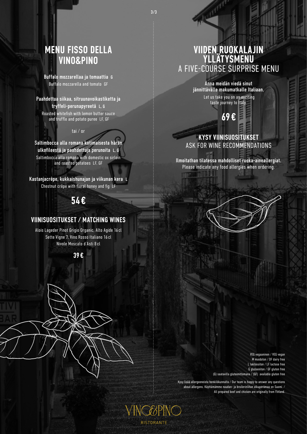3/3

**YING&PINO** 

**RISTORANTE** 

## **MENU FISSO DELLA VINO&PINO**

Buffalo mozzarellaa ja tomaattia G Buffalo mozzarella and tomato GF

Paahdettua siikaa, sitruunavoikastiketta ja tryffeli-perunapyreetä L, G Roasted whitefish with lemon butter sauce and truffle and potato puree LF, GF

#### tai / or

Saltimbocca alla romana kotimaisesta härän ulkofileestä ja paahdettuja perunoita L, G Saltimbocca alla romana with domestic ox sirloin and roasted potatoes LF, GF

Kastanjacrêpe, kukkaishunajan ja viikunan kera Chestnut crêpe with floral honey and fig LF

### **54 €**

#### **VIINISUOSITUKSET / MATCHING WINES**

Alois Lageder Pinot Grigio Organic, Alto Agide 16 cl Sette Vigne 7, Vino Rosso Italiano 16 cl Nivole Moscato d´Asti 8 cl

**39 €**

## **VIIDEN RUOKALAJIN YLLÄTYSMENU** A FIVE-COURSE SURPRISE MENU

Anna meidän viedä sinut jännittävälle makumatkalle Italiaan.

 Let us take you on an exciting taste journey to Italy.

**69 €**

### **KYSY VIINISUOSITUKSET**  ASK FOR WINE RECOMMENDATIONS

Ilmoitathan tilatessa mahdolliset ruoka-aineallergiat. Please indicate any food allergies when ordering.

> VEG vegaaninen / VEG vegan M maidoton / DF dairy free L laktoositon / LF lactose free G gluteeniton / GF gluten free (G) saatavilla gluteenittomana / (GF) available gluten free

Kysy lisää allergeeneista henkilökunnalta / Our team is happy to answer any questions about allergens. Käyttämämme naudan- ja broilerinlihan alkuperämaa on Suomi. / All prepared beef and chicken are originally from Finland.